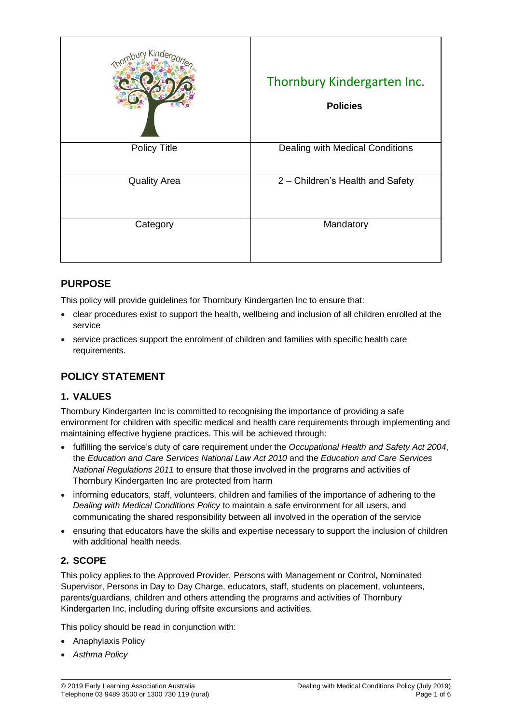| $K$ ino             | Thornbury Kindergarten Inc.<br><b>Policies</b> |
|---------------------|------------------------------------------------|
| <b>Policy Title</b> | Dealing with Medical Conditions                |
| <b>Quality Area</b> | 2 - Children's Health and Safety               |
| Category            | Mandatory                                      |

# **PURPOSE**

This policy will provide guidelines for Thornbury Kindergarten Inc to ensure that:

- clear procedures exist to support the health, wellbeing and inclusion of all children enrolled at the service
- service practices support the enrolment of children and families with specific health care requirements.

# **POLICY STATEMENT**

## **1. VALUES**

Thornbury Kindergarten Inc is committed to recognising the importance of providing a safe environment for children with specific medical and health care requirements through implementing and maintaining effective hygiene practices. This will be achieved through:

- fulfilling the service's duty of care requirement under the *Occupational Health and Safety Act 2004*, the *Education and Care Services National Law Act 2010* and the *Education and Care Services National Regulations 2011* to ensure that those involved in the programs and activities of Thornbury Kindergarten Inc are protected from harm
- informing educators, staff, volunteers, children and families of the importance of adhering to the *Dealing with Medical Conditions Policy* to maintain a safe environment for all users, and communicating the shared responsibility between all involved in the operation of the service
- ensuring that educators have the skills and expertise necessary to support the inclusion of children with additional health needs.

## **2. SCOPE**

This policy applies to the Approved Provider, Persons with Management or Control, Nominated Supervisor, Persons in Day to Day Charge, educators, staff, students on placement, volunteers, parents/guardians, children and others attending the programs and activities of Thornbury Kindergarten Inc, including during offsite excursions and activities.

This policy should be read in conjunction with:

- Anaphylaxis Policy
- *Asthma Policy*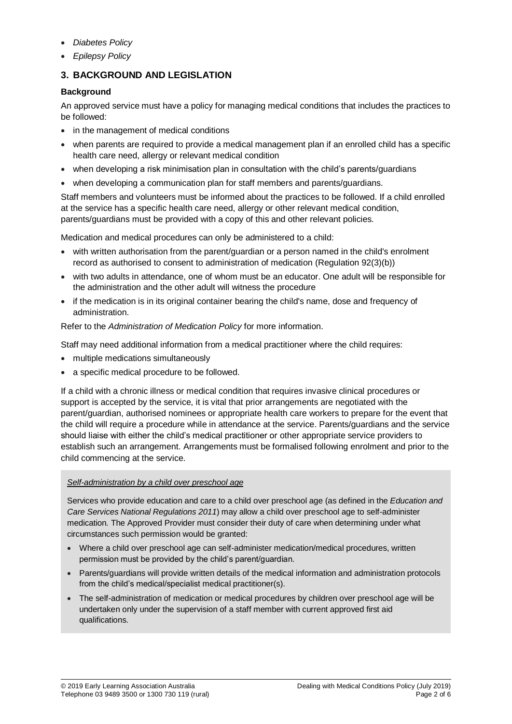- *Diabetes Policy*
- *Epilepsy Policy*

## **3. BACKGROUND AND LEGISLATION**

### **Background**

An approved service must have a policy for managing medical conditions that includes the practices to be followed:

- in the management of medical conditions
- when parents are required to provide a medical management plan if an enrolled child has a specific health care need, allergy or relevant medical condition
- when developing a risk minimisation plan in consultation with the child's parents/guardians
- when developing a communication plan for staff members and parents/guardians.

Staff members and volunteers must be informed about the practices to be followed. If a child enrolled at the service has a specific health care need, allergy or other relevant medical condition, parents/guardians must be provided with a copy of this and other relevant policies.

Medication and medical procedures can only be administered to a child:

- with written authorisation from the parent/guardian or a person named in the child's enrolment record as authorised to consent to administration of medication (Regulation 92(3)(b))
- with two adults in attendance, one of whom must be an educator. One adult will be responsible for the administration and the other adult will witness the procedure
- if the medication is in its original container bearing the child's name, dose and frequency of administration.

Refer to the *Administration of Medication Policy* for more information.

Staff may need additional information from a medical practitioner where the child requires:

- multiple medications simultaneously
- a specific medical procedure to be followed.

If a child with a chronic illness or medical condition that requires invasive clinical procedures or support is accepted by the service, it is vital that prior arrangements are negotiated with the parent/guardian, authorised nominees or appropriate health care workers to prepare for the event that the child will require a procedure while in attendance at the service. Parents/guardians and the service should liaise with either the child's medical practitioner or other appropriate service providers to establish such an arrangement. Arrangements must be formalised following enrolment and prior to the child commencing at the service.

### *Self-administration by a child over preschool age*

Services who provide education and care to a child over preschool age (as defined in the *Education and Care Services National Regulations 2011*) may allow a child over preschool age to self-administer medication. The Approved Provider must consider their duty of care when determining under what circumstances such permission would be granted:

- Where a child over preschool age can self-administer medication/medical procedures, written permission must be provided by the child's parent/guardian.
- Parents/guardians will provide written details of the medical information and administration protocols from the child's medical/specialist medical practitioner(s).
- The self-administration of medication or medical procedures by children over preschool age will be undertaken only under the supervision of a staff member with current approved first aid qualifications.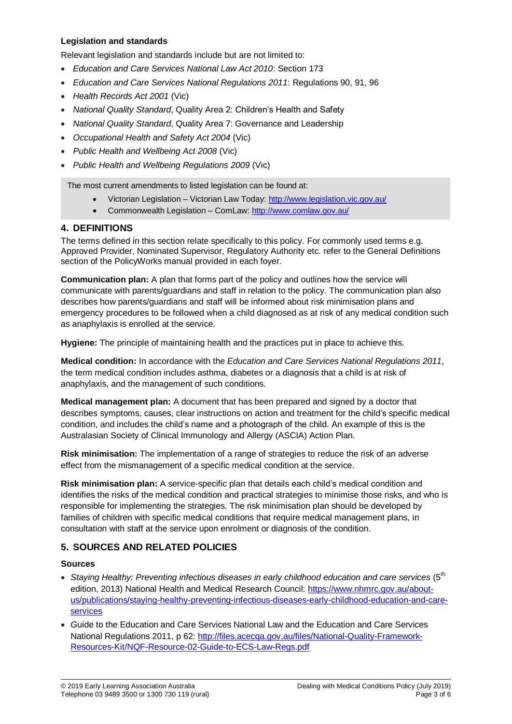### **Legislation and standards**

Relevant legislation and standards include but are not limited to:

- *Education and Care Services National Law Act 2010*: Section 173
- *Education and Care Services National Regulations 2011*: Regulations 90, 91, 96
- *Health Records Act 2001* (Vic)
- *National Quality Standard*, Quality Area 2: Children's Health and Safety
- *National Quality Standard*, Quality Area 7: Governance and Leadership
- *Occupational Health and Safety Act 2004* (Vic)
- *Public Health and Wellbeing Act 2008* (Vic)
- *Public Health and Wellbeing Regulations 2009* (Vic)

The most current amendments to listed legislation can be found at:

- Victorian Legislation Victorian Law Today:<http://www.legislation.vic.gov.au/>
- Commonwealth Legislation ComLaw:<http://www.comlaw.gov.au/>

#### **4. DEFINITIONS**

The terms defined in this section relate specifically to this policy. For commonly used terms e.g. Approved Provider, Nominated Supervisor, Regulatory Authority etc. refer to the General Definitions section of the PolicyWorks manual provided in each foyer.

**Communication plan:** A plan that forms part of the policy and outlines how the service will communicate with parents/guardians and staff in relation to the policy. The communication plan also describes how parents/guardians and staff will be informed about risk minimisation plans and emergency procedures to be followed when a child diagnosed as at risk of any medical condition such as anaphylaxis is enrolled at the service.

**Hygiene:** The principle of maintaining health and the practices put in place to achieve this.

**Medical condition:** In accordance with the *Education and Care Services National Regulations 2011*, the term medical condition includes asthma, diabetes or a diagnosis that a child is at risk of anaphylaxis, and the management of such conditions.

**Medical management plan:** A document that has been prepared and signed by a doctor that describes symptoms, causes, clear instructions on action and treatment for the child's specific medical condition, and includes the child's name and a photograph of the child. An example of this is the Australasian Society of Clinical Immunology and Allergy (ASCIA) Action Plan.

**Risk minimisation:** The implementation of a range of strategies to reduce the risk of an adverse effect from the mismanagement of a specific medical condition at the service.

**Risk minimisation plan:** A service-specific plan that details each child's medical condition and identifies the risks of the medical condition and practical strategies to minimise those risks, and who is responsible for implementing the strategies. The risk minimisation plan should be developed by families of children with specific medical conditions that require medical management plans, in consultation with staff at the service upon enrolment or diagnosis of the condition.

### **5. SOURCES AND RELATED POLICIES**

#### **Sources**

- Staying Healthy: Preventing infectious diseases in early childhood education and care services (5<sup>th</sup> edition, 2013) National Health and Medical Research Council: [https://www.nhmrc.gov.au/about](https://www.nhmrc.gov.au/about-us/publications/staying-healthy-preventing-infectious-diseases-early-childhood-education-and-care-services)[us/publications/staying-healthy-preventing-infectious-diseases-early-childhood-education-and-care](https://www.nhmrc.gov.au/about-us/publications/staying-healthy-preventing-infectious-diseases-early-childhood-education-and-care-services)[services](https://www.nhmrc.gov.au/about-us/publications/staying-healthy-preventing-infectious-diseases-early-childhood-education-and-care-services)
- *G*uide to the Education and Care Services National Law and the Education and Care Services National Regulations 2011, p 62: [http://files.acecqa.gov.au/files/National-Quality-Framework-](http://files.acecqa.gov.au/files/National-Quality-Framework-Resources-Kit/NQF-Resource-02-Guide-to-ECS-Law-Regs.pdf)[Resources-Kit/NQF-Resource-02-Guide-to-ECS-Law-Regs.pdf](http://files.acecqa.gov.au/files/National-Quality-Framework-Resources-Kit/NQF-Resource-02-Guide-to-ECS-Law-Regs.pdf)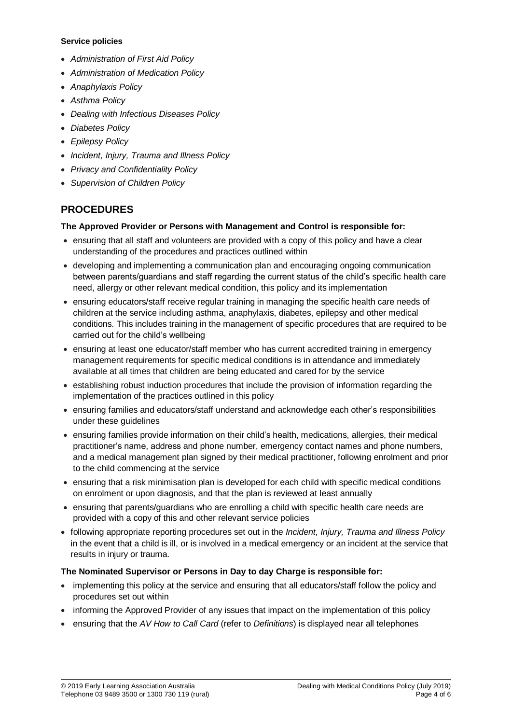#### **Service policies**

- *Administration of First Aid Policy*
- *Administration of Medication Policy*
- *Anaphylaxis Policy*
- *Asthma Policy*
- *Dealing with Infectious Diseases Policy*
- *Diabetes Policy*
- *Epilepsy Policy*
- *Incident, Injury, Trauma and Illness Policy*
- *Privacy and Confidentiality Policy*
- *Supervision of Children Policy*

## **PROCEDURES**

### **The Approved Provider or Persons with Management and Control is responsible for:**

- ensuring that all staff and volunteers are provided with a copy of this policy and have a clear understanding of the procedures and practices outlined within
- developing and implementing a communication plan and encouraging ongoing communication between parents/guardians and staff regarding the current status of the child's specific health care need, allergy or other relevant medical condition, this policy and its implementation
- ensuring educators/staff receive regular training in managing the specific health care needs of children at the service including asthma, anaphylaxis, diabetes, epilepsy and other medical conditions. This includes training in the management of specific procedures that are required to be carried out for the child's wellbeing
- ensuring at least one educator/staff member who has current accredited training in emergency management requirements for specific medical conditions is in attendance and immediately available at all times that children are being educated and cared for by the service
- establishing robust induction procedures that include the provision of information regarding the implementation of the practices outlined in this policy
- ensuring families and educators/staff understand and acknowledge each other's responsibilities under these guidelines
- ensuring families provide information on their child's health, medications, allergies, their medical practitioner's name, address and phone number, emergency contact names and phone numbers, and a medical management plan signed by their medical practitioner, following enrolment and prior to the child commencing at the service
- ensuring that a risk minimisation plan is developed for each child with specific medical conditions on enrolment or upon diagnosis, and that the plan is reviewed at least annually
- ensuring that parents/guardians who are enrolling a child with specific health care needs are provided with a copy of this and other relevant service policies
- following appropriate reporting procedures set out in the *Incident, Injury, Trauma and Illness Policy* in the event that a child is ill, or is involved in a medical emergency or an incident at the service that results in injury or trauma.

### **The Nominated Supervisor or Persons in Day to day Charge is responsible for:**

- implementing this policy at the service and ensuring that all educators/staff follow the policy and procedures set out within
- informing the Approved Provider of any issues that impact on the implementation of this policy
- ensuring that the *AV How to Call Card* (refer to *Definitions*) is displayed near all telephones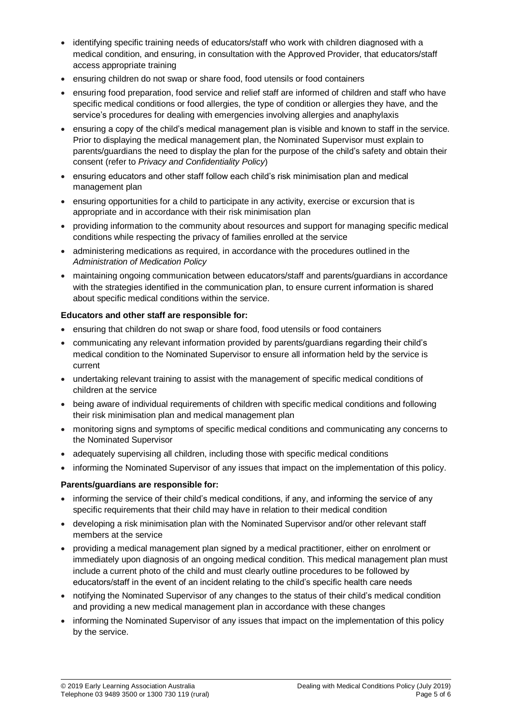- identifying specific training needs of educators/staff who work with children diagnosed with a medical condition, and ensuring, in consultation with the Approved Provider, that educators/staff access appropriate training
- ensuring children do not swap or share food, food utensils or food containers
- ensuring food preparation, food service and relief staff are informed of children and staff who have specific medical conditions or food allergies, the type of condition or allergies they have, and the service's procedures for dealing with emergencies involving allergies and anaphylaxis
- ensuring a copy of the child's medical management plan is visible and known to staff in the service. Prior to displaying the medical management plan, the Nominated Supervisor must explain to parents/guardians the need to display the plan for the purpose of the child's safety and obtain their consent (refer to *Privacy and Confidentiality Policy*)
- ensuring educators and other staff follow each child's risk minimisation plan and medical management plan
- ensuring opportunities for a child to participate in any activity, exercise or excursion that is appropriate and in accordance with their risk minimisation plan
- providing information to the community about resources and support for managing specific medical conditions while respecting the privacy of families enrolled at the service
- administering medications as required, in accordance with the procedures outlined in the *Administration of Medication Policy*
- maintaining ongoing communication between educators/staff and parents/guardians in accordance with the strategies identified in the communication plan, to ensure current information is shared about specific medical conditions within the service.

#### **Educators and other staff are responsible for:**

- ensuring that children do not swap or share food, food utensils or food containers
- communicating any relevant information provided by parents/guardians regarding their child's medical condition to the Nominated Supervisor to ensure all information held by the service is current
- undertaking relevant training to assist with the management of specific medical conditions of children at the service
- being aware of individual requirements of children with specific medical conditions and following their risk minimisation plan and medical management plan
- monitoring signs and symptoms of specific medical conditions and communicating any concerns to the Nominated Supervisor
- adequately supervising all children, including those with specific medical conditions
- informing the Nominated Supervisor of any issues that impact on the implementation of this policy.

#### **Parents/guardians are responsible for:**

- informing the service of their child's medical conditions, if any, and informing the service of any specific requirements that their child may have in relation to their medical condition
- developing a risk minimisation plan with the Nominated Supervisor and/or other relevant staff members at the service
- providing a medical management plan signed by a medical practitioner, either on enrolment or immediately upon diagnosis of an ongoing medical condition. This medical management plan must include a current photo of the child and must clearly outline procedures to be followed by educators/staff in the event of an incident relating to the child's specific health care needs
- notifying the Nominated Supervisor of any changes to the status of their child's medical condition and providing a new medical management plan in accordance with these changes
- informing the Nominated Supervisor of any issues that impact on the implementation of this policy by the service.